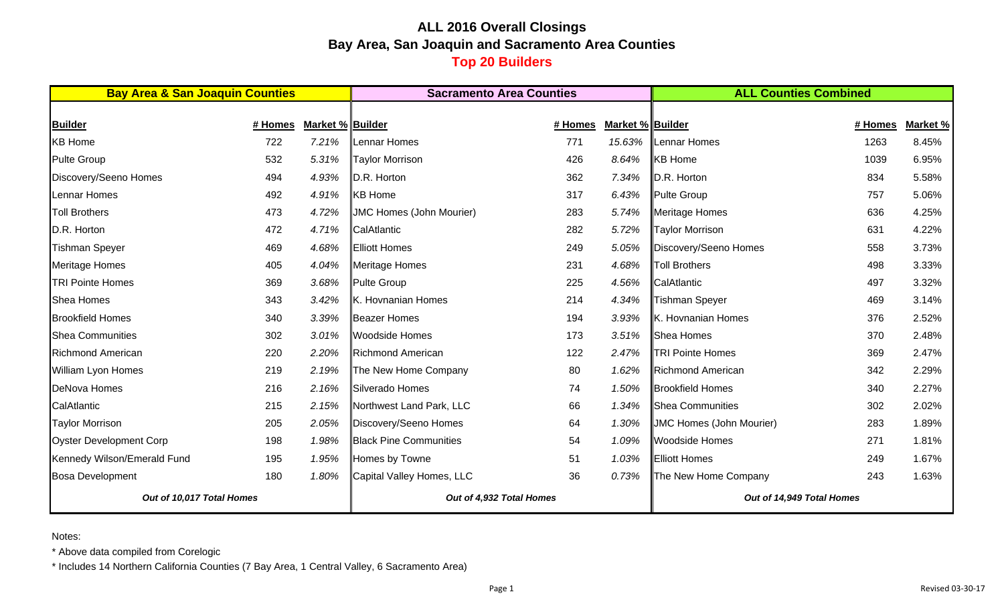# **ALL 2016 Overall Closings Bay Area, San Joaquin and Sacramento Area Counties Top 20 Builders**

| <b>Bay Area &amp; San Joaquin Counties</b> |         |                  | <b>Sacramento Area Counties</b> |         |                  | <b>ALL Counties Combined</b>    |         |          |  |
|--------------------------------------------|---------|------------------|---------------------------------|---------|------------------|---------------------------------|---------|----------|--|
|                                            |         |                  |                                 |         |                  |                                 |         |          |  |
| <b>Builder</b>                             | # Homes | Market % Builder |                                 | # Homes | Market % Builder |                                 | # Homes | Market % |  |
| <b>KB Home</b>                             | 722     | 7.21%            | Lennar Homes                    | 771     | 15.63%           | Lennar Homes                    | 1263    | 8.45%    |  |
| <b>Pulte Group</b>                         | 532     | 5.31%            | <b>Taylor Morrison</b>          | 426     | 8.64%            | <b>KB</b> Home                  | 1039    | 6.95%    |  |
| Discovery/Seeno Homes                      | 494     | 4.93%            | D.R. Horton                     | 362     | 7.34%            | D.R. Horton                     | 834     | 5.58%    |  |
| Lennar Homes                               | 492     | 4.91%            | <b>KB</b> Home                  | 317     | 6.43%            | <b>Pulte Group</b>              | 757     | 5.06%    |  |
| <b>Toll Brothers</b>                       | 473     | 4.72%            | <b>JMC Homes (John Mourier)</b> | 283     | 5.74%            | <b>Meritage Homes</b>           | 636     | 4.25%    |  |
| D.R. Horton                                | 472     | 4.71%            | CalAtlantic                     | 282     | 5.72%            | <b>Taylor Morrison</b>          | 631     | 4.22%    |  |
| <b>Tishman Speyer</b>                      | 469     | 4.68%            | Elliott Homes                   | 249     | 5.05%            | Discovery/Seeno Homes           | 558     | 3.73%    |  |
| <b>Meritage Homes</b>                      | 405     | 4.04%            | <b>Meritage Homes</b>           | 231     | 4.68%            | <b>Toll Brothers</b>            | 498     | 3.33%    |  |
| <b>TRI Pointe Homes</b>                    | 369     | 3.68%            | Pulte Group                     | 225     | 4.56%            | CalAtlantic                     | 497     | 3.32%    |  |
| <b>Shea Homes</b>                          | 343     | 3.42%            | K. Hovnanian Homes              | 214     | 4.34%            | <b>Tishman Speyer</b>           | 469     | 3.14%    |  |
| <b>Brookfield Homes</b>                    | 340     | 3.39%            | <b>Beazer Homes</b>             | 194     | 3.93%            | K. Hovnanian Homes              | 376     | 2.52%    |  |
| <b>Shea Communities</b>                    | 302     | 3.01%            | <b>Woodside Homes</b>           | 173     | 3.51%            | Shea Homes                      | 370     | 2.48%    |  |
| <b>Richmond American</b>                   | 220     | 2.20%            | <b>Richmond American</b>        | 122     | 2.47%            | <b>TRI Pointe Homes</b>         | 369     | 2.47%    |  |
| William Lyon Homes                         | 219     | 2.19%            | The New Home Company            | 80      | 1.62%            | <b>Richmond American</b>        | 342     | 2.29%    |  |
| <b>DeNova Homes</b>                        | 216     | 2.16%            | Silverado Homes                 | 74      | 1.50%            | <b>Brookfield Homes</b>         | 340     | 2.27%    |  |
| CalAtlantic                                | 215     | 2.15%            | Northwest Land Park, LLC        | 66      | 1.34%            | <b>Shea Communities</b>         | 302     | 2.02%    |  |
| <b>Taylor Morrison</b>                     | 205     | 2.05%            | Discovery/Seeno Homes           | 64      | 1.30%            | <b>JMC Homes (John Mourier)</b> | 283     | 1.89%    |  |
| <b>Oyster Development Corp</b>             | 198     | 1.98%            | <b>Black Pine Communities</b>   | 54      | 1.09%            | <b>Woodside Homes</b>           | 271     | 1.81%    |  |
| Kennedy Wilson/Emerald Fund                | 195     | 1.95%            | Homes by Towne                  | 51      | 1.03%            | <b>Elliott Homes</b>            | 249     | 1.67%    |  |
| <b>Bosa Development</b>                    | 180     | 1.80%            | Capital Valley Homes, LLC       | 36      | 0.73%            | The New Home Company            | 243     | 1.63%    |  |
| Out of 10,017 Total Homes                  |         |                  | Out of 4,932 Total Homes        |         |                  | Out of 14,949 Total Homes       |         |          |  |

Notes:

\* Above data compiled from Corelogic

\* Includes 14 Northern California Counties (7 Bay Area, 1 Central Valley, 6 Sacramento Area)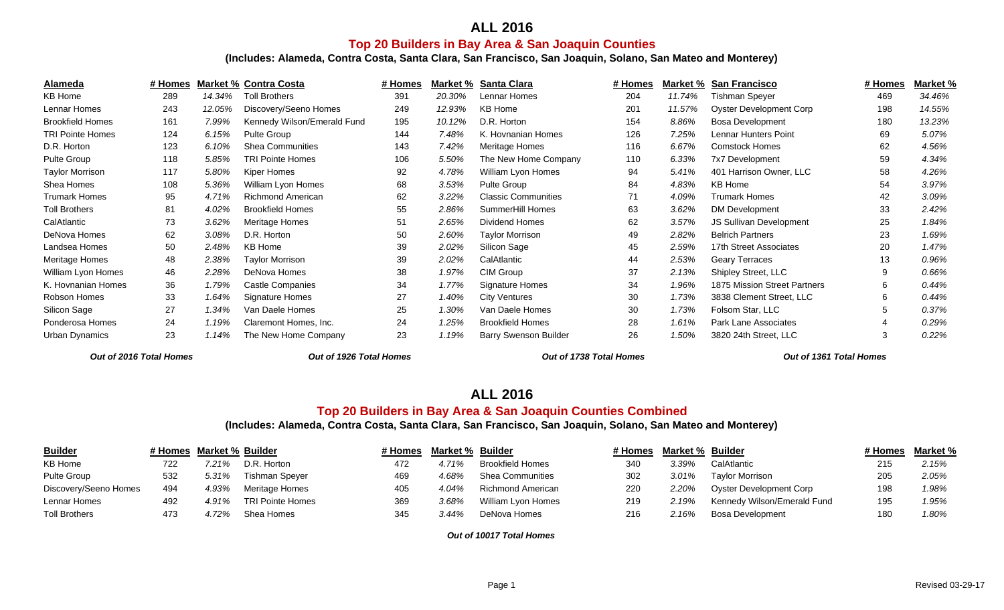## **ALL 2016**

#### **Top 20 Builders in Bay Area & San Joaquin Counties**

**(Includes: Alameda, Contra Costa, Santa Clara, San Francisco, San Joaquin, Solano, San Mateo and Monterey)**

| Alameda                 | # Homes |        | <b>Market % Contra Costa</b> | # Homes |        | <b>Market % Santa Clara</b>  | # Homes |        | Market % San Francisco         | # Homes | Market % |
|-------------------------|---------|--------|------------------------------|---------|--------|------------------------------|---------|--------|--------------------------------|---------|----------|
| <b>KB Home</b>          | 289     | 14.34% | <b>Toll Brothers</b>         | 391     | 20.30% | Lennar Homes                 | 204     | 11.74% | <b>Tishman Speyer</b>          | 469     | 34.46%   |
| Lennar Homes            | 243     | 12.05% | Discovery/Seeno Homes        | 249     | 12.93% | <b>KB Home</b>               | 201     | 11.57% | <b>Oyster Development Corp</b> | 198     | 14.55%   |
| <b>Brookfield Homes</b> | 161     | 7.99%  | Kennedy Wilson/Emerald Fund  | 195     | 10.12% | D.R. Horton                  | 154     | 8.86%  | <b>Bosa Development</b>        | 180     | 13.23%   |
| <b>TRI Pointe Homes</b> | 124     | 6.15%  | Pulte Group                  | 144     | 7.48%  | K. Hovnanian Homes           | 126     | 7.25%  | Lennar Hunters Point           | 69      | 5.07%    |
| D.R. Horton             | 123     | 6.10%  | <b>Shea Communities</b>      | 143     | 7.42%  | Meritage Homes               | 116     | 6.67%  | <b>Comstock Homes</b>          | 62      | 4.56%    |
| Pulte Group             | 118     | 5.85%  | <b>TRI Pointe Homes</b>      | 106     | 5.50%  | The New Home Company         | 110     | 6.33%  | 7x7 Development                | 59      | 4.34%    |
| <b>Taylor Morrison</b>  | 117     | 5.80%  | Kiper Homes                  | 92      | 4.78%  | William Lyon Homes           | 94      | 5.41%  | 401 Harrison Owner, LLC        | 58      | 4.26%    |
| Shea Homes              | 108     | 5.36%  | William Lyon Homes           | 68      | 3.53%  | Pulte Group                  | 84      | 4.83%  | <b>KB Home</b>                 | 54      | 3.97%    |
| <b>Trumark Homes</b>    | 95      | 4.71%  | <b>Richmond American</b>     | 62      | 3.22%  | <b>Classic Communities</b>   | 71      | 4.09%  | <b>Trumark Homes</b>           | 42      | 3.09%    |
| <b>Toll Brothers</b>    | 81      | 4.02%  | <b>Brookfield Homes</b>      | 55      | 2.86%  | SummerHill Homes             | 63      | 3.62%  | DM Development                 | 33      | 2.42%    |
| CalAtlantic             | 73      | 3.62%  | Meritage Homes               | 51      | 2.65%  | <b>Dividend Homes</b>        | 62      | 3.57%  | JS Sullivan Development        | 25      | 1.84%    |
| DeNova Homes            | 62      | 3.08%  | D.R. Horton                  | 50      | 2.60%  | <b>Taylor Morrison</b>       | 49      | 2.82%  | <b>Belrich Partners</b>        | 23      | 1.69%    |
| Landsea Homes           | 50      | 2.48%  | <b>KB Home</b>               | 39      | 2.02%  | Silicon Sage                 | 45      | 2.59%  | 17th Street Associates         | 20      | 1.47%    |
| <b>Meritage Homes</b>   | 48      | 2.38%  | Taylor Morrison              | 39      | 2.02%  | CalAtlantic                  | 44      | 2.53%  | <b>Geary Terraces</b>          | 13      | 0.96%    |
| William Lyon Homes      | 46      | 2.28%  | DeNova Homes                 | 38      | 1.97%  | CIM Group                    | 37      | 2.13%  | Shipley Street, LLC            | 9       | 0.66%    |
| K. Hovnanian Homes      | 36      | 1.79%  | <b>Castle Companies</b>      | 34      | 1.77%  | Signature Homes              | 34      | 1.96%  | 1875 Mission Street Partners   | 6       | 0.44%    |
| Robson Homes            | 33      | 1.64%  | Signature Homes              | 27      | 1.40%  | <b>City Ventures</b>         | 30      | 1.73%  | 3838 Clement Street, LLC       | 6       | 0.44%    |
| Silicon Sage            | 27      | 1.34%  | Van Daele Homes              | 25      | 1.30%  | Van Daele Homes              | 30      | 1.73%  | Folsom Star, LLC               |         | 0.37%    |
| Ponderosa Homes         | 24      | 1.19%  | Claremont Homes, Inc.        | 24      | 1.25%  | <b>Brookfield Homes</b>      | 28      | 1.61%  | Park Lane Associates           |         | 0.29%    |
| Urban Dynamics          | 23      | 1.14%  | The New Home Company         | 23      | 1.19%  | <b>Barry Swenson Builder</b> | 26      | 1.50%  | 3820 24th Street, LLC          | -3      | 0.22%    |

*Out of 2016 Total Homes Out of 1926 Total Homes Out of 1738 Total Homes Out of 1361 Total Homes*

Out of 1361 Total Homes

## **ALL 2016**

#### **Top 20 Builders in Bay Area & San Joaquin Counties Combined**

**(Includes: Alameda, Contra Costa, Santa Clara, San Francisco, San Joaquin, Solano, San Mateo and Monterey)**

| <b>Builder</b>        |     | # Homes Market % Builder |                         | # Homes Market % Builder |       |                         | # Homes | <b>Market % Builder</b> |                             | # Homes | <u>Market %</u> |
|-----------------------|-----|--------------------------|-------------------------|--------------------------|-------|-------------------------|---------|-------------------------|-----------------------------|---------|-----------------|
| KB Home               | 722 | $7.21\%$                 | D.R. Horton             | 472                      | 4.71% | <b>Brookfield Homes</b> | 340     | 3.39%                   | CalAtlantic                 | 215     | 2.15%           |
| Pulte Group           | 532 | 5.31%                    | Tishman Spever          | 469                      | 4.68% | <b>Shea Communities</b> | 302     | $3.01\%$                | <b>Taylor Morrison</b>      | 205     | 2.05%           |
| Discovery/Seeno Homes | 494 | 4.93%                    | Meritage Homes          |                          | 4.04% | Richmond American       | 220     | 2.20%                   | Oyster Development Corp     | 198     | 1.98%           |
| Lennar Homes          | 492 | 4.91%                    | <b>TRI Pointe Homes</b> | 369                      | 3.68% | William Lyon Homes      | 219     | 2.19%                   | Kennedy Wilson/Emerald Fund | 195     | 1.95%           |
| <b>Toll Brothers</b>  | 473 | .72%                     | Shea Homes              | 345                      | 3.44% | DeNova Homes            | 216     | 2.16%                   | Bosa Development            | 180     | 1.80%           |

*Out of 10017 Total Homes*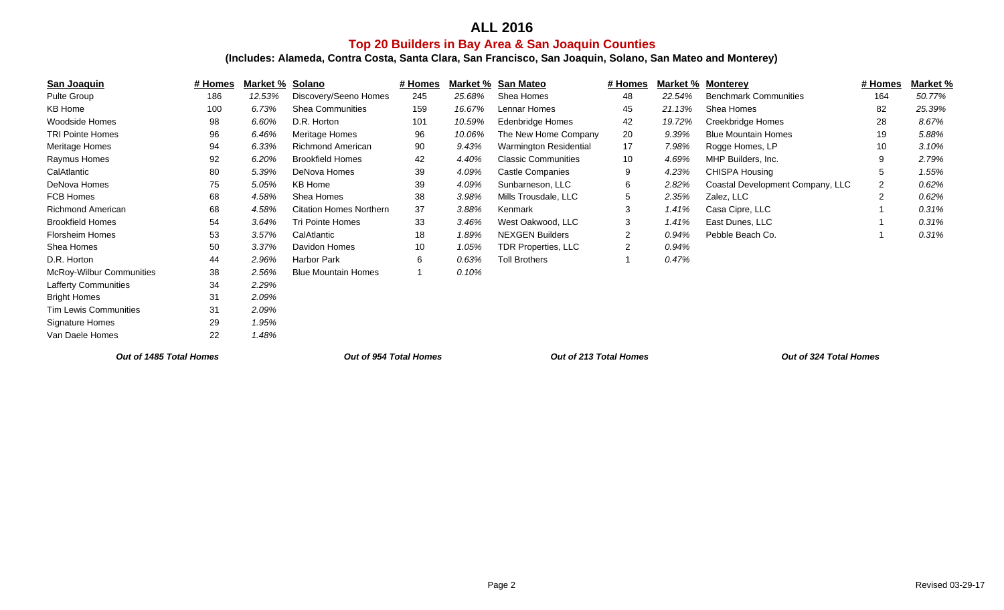# **ALL 2016**

# **Top 20 Builders in Bay Area & San Joaquin Counties**

**(Includes: Alameda, Contra Costa, Santa Clara, San Francisco, San Joaquin, Solano, San Mateo and Monterey)**

| San Joaquin                  | # Homes | Market %                      | Solano                         | # Homes | Market %               | <b>San Mateo</b>           | # Homes | Market %               | <b>Monterey</b>                  | # Homes | Market % |
|------------------------------|---------|-------------------------------|--------------------------------|---------|------------------------|----------------------------|---------|------------------------|----------------------------------|---------|----------|
| Pulte Group                  | 186     | 12.53%                        | Discovery/Seeno Homes          | 245     | 25.68%                 | Shea Homes                 | 48      | 22.54%                 | <b>Benchmark Communities</b>     | 164     | 50.77%   |
| <b>KB Home</b>               | 100     | 6.73%                         | <b>Shea Communities</b>        | 159     | 16.67%                 | Lennar Homes               | 45      | 21.13%                 | Shea Homes                       | 82      | 25.39%   |
| <b>Woodside Homes</b>        | 98      | 6.60%                         | D.R. Horton                    | 101     | 10.59%                 | <b>Edenbridge Homes</b>    | 42      | 19.72%                 | Creekbridge Homes                | 28      | 8.67%    |
| <b>TRI Pointe Homes</b>      | 96      | 6.46%                         | Meritage Homes                 | 96      | 10.06%                 | The New Home Company       | 20      | 9.39%                  | <b>Blue Mountain Homes</b>       | 19      | 5.88%    |
| Meritage Homes               | 94      | 6.33%                         | <b>Richmond American</b>       | 90      | 9.43%                  | Warmington Residential     | 17      | 7.98%                  | Rogge Homes, LP                  | 10      | 3.10%    |
| Raymus Homes                 | 92      | 6.20%                         | <b>Brookfield Homes</b>        | 42      | 4.40%                  | <b>Classic Communities</b> | 10      | 4.69%                  | MHP Builders, Inc.               | -9      | 2.79%    |
| CalAtlantic                  | 80      | 5.39%                         | DeNova Homes                   | 39      | 4.09%                  | <b>Castle Companies</b>    | 9       | 4.23%                  | <b>CHISPA Housing</b>            | -5      | 1.55%    |
| DeNova Homes                 | 75      | 5.05%                         | KB Home                        | 39      | 4.09%                  | Sunbarneson, LLC           | 6       | 2.82%                  | Coastal Development Company, LLC | 2       | 0.62%    |
| FCB Homes                    | 68      | 4.58%                         | Shea Homes                     | 38      | 3.98%                  | Mills Trousdale, LLC       | 5       | 2.35%                  | Zalez, LLC                       | 2       | 0.62%    |
| Richmond American            | 68      | 4.58%                         | <b>Citation Homes Northern</b> | 37      | 3.88%                  | Kenmark                    |         | 1.41%                  | Casa Cipre, LLC                  |         | 0.31%    |
| <b>Brookfield Homes</b>      | 54      | 3.64%                         | <b>Tri Pointe Homes</b>        | 33      | 3.46%                  | West Oakwood, LLC          | 3       | 1.41%                  | East Dunes, LLC                  |         | 0.31%    |
| <b>Florsheim Homes</b>       | 53      | 3.57%                         | CalAtlantic                    | 18      | 1.89%                  | <b>NEXGEN Builders</b>     |         | 0.94%                  | Pebble Beach Co.                 |         | 0.31%    |
| Shea Homes                   | 50      | 3.37%                         | Davidon Homes                  | 10      | 1.05%                  | <b>TDR Properties, LLC</b> | 2       | 0.94%                  |                                  |         |          |
| D.R. Horton                  | 44      | 2.96%                         | Harbor Park                    | 6       | 0.63%                  | <b>Toll Brothers</b>       |         | 0.47%                  |                                  |         |          |
| McRoy-Wilbur Communities     | 38      | 2.56%                         | <b>Blue Mountain Homes</b>     |         | 0.10%                  |                            |         |                        |                                  |         |          |
| <b>Lafferty Communities</b>  | 34      | 2.29%                         |                                |         |                        |                            |         |                        |                                  |         |          |
| <b>Bright Homes</b>          | 31      | 2.09%                         |                                |         |                        |                            |         |                        |                                  |         |          |
| <b>Tim Lewis Communities</b> | 31      | 2.09%                         |                                |         |                        |                            |         |                        |                                  |         |          |
| Signature Homes              | 29      | 1.95%                         |                                |         |                        |                            |         |                        |                                  |         |          |
| Van Daele Homes              | 22      | 1.48%                         |                                |         |                        |                            |         |                        |                                  |         |          |
| Out of 1485 Total Homes      |         | <b>Out of 954 Total Homes</b> |                                |         | Out of 213 Total Homes |                            |         | Out of 324 Total Homes |                                  |         |          |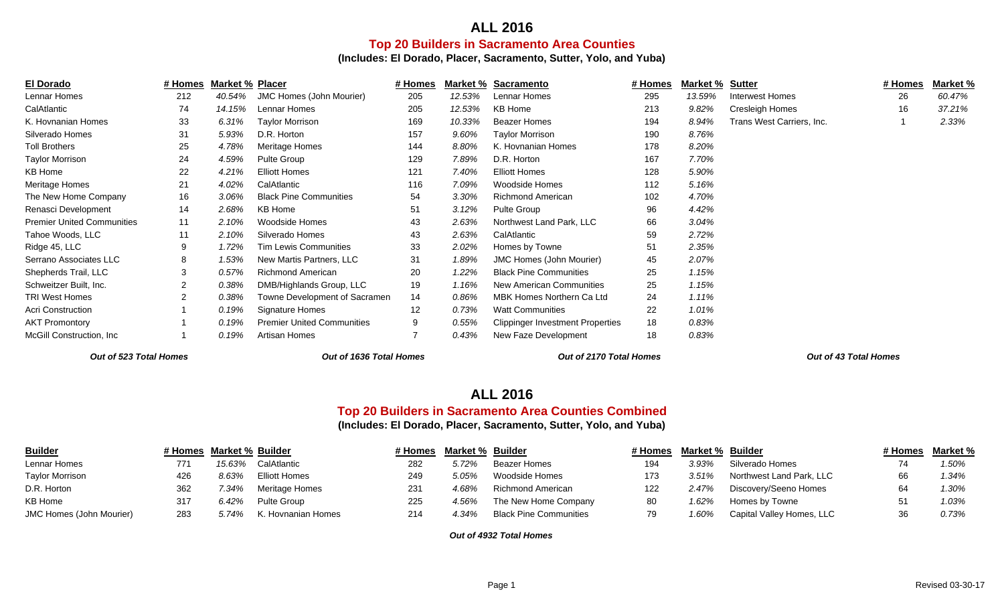## **ALL 2016Top 20 Builders in Sacramento Area Counties**

**(Includes: El Dorado, Placer, Sacramento, Sutter, Yolo, and Yuba)**

| <b>El Dorado</b>                  | # Homes | <b>Market % Placer</b> |                                   | # Homes |        | Market % Sacramento                     | # Homes | <b>Market % Sutter</b> |                           | # Homes | Market % |
|-----------------------------------|---------|------------------------|-----------------------------------|---------|--------|-----------------------------------------|---------|------------------------|---------------------------|---------|----------|
| Lennar Homes                      | 212     | 40.54%                 | JMC Homes (John Mourier)          | 205     | 12.53% | Lennar Homes                            | 295     | 13.59%                 | <b>Interwest Homes</b>    | 26      | 60.47%   |
| CalAtlantic                       | 74      | 14.15%                 | Lennar Homes                      | 205     | 12.53% | <b>KB Home</b>                          | 213     | 9.82%                  | Cresleigh Homes           | 16      | 37.21%   |
| K. Hovnanian Homes                | 33      | 6.31%                  | <b>Taylor Morrison</b>            | 169     | 10.33% | <b>Beazer Homes</b>                     | 194     | 8.94%                  | Trans West Carriers, Inc. |         | 2.33%    |
| Silverado Homes                   | 31      | 5.93%                  | D.R. Horton                       | 157     | 9.60%  | <b>Taylor Morrison</b>                  | 190     | 8.76%                  |                           |         |          |
| <b>Toll Brothers</b>              | 25      | 4.78%                  | Meritage Homes                    | 144     | 8.80%  | K. Hovnanian Homes                      | 178     | 8.20%                  |                           |         |          |
| Taylor Morrison                   | 24      | 4.59%                  | Pulte Group                       | 129     | 7.89%  | D.R. Horton                             | 167     | 7.70%                  |                           |         |          |
| <b>KB Home</b>                    | 22      | 4.21%                  | <b>Elliott Homes</b>              | 121     | 7.40%  | <b>Elliott Homes</b>                    | 128     | 5.90%                  |                           |         |          |
| Meritage Homes                    | 21      | 4.02%                  | CalAtlantic                       | 116     | 7.09%  | Woodside Homes                          | 112     | 5.16%                  |                           |         |          |
| The New Home Company              | 16      | $3.06\%$               | <b>Black Pine Communities</b>     | 54      | 3.30%  | <b>Richmond American</b>                | 102     | 4.70%                  |                           |         |          |
| Renasci Development               | 14      | 2.68%                  | KB Home                           | 51      | 3.12%  | Pulte Group                             | 96      | 4.42%                  |                           |         |          |
| <b>Premier United Communities</b> | 11      | 2.10%                  | Woodside Homes                    | 43      | 2.63%  | Northwest Land Park, LLC                | 66      | 3.04%                  |                           |         |          |
| Tahoe Woods, LLC                  | 11      | 2.10%                  | Silverado Homes                   | 43      | 2.63%  | CalAtlantic                             | 59      | 2.72%                  |                           |         |          |
| Ridge 45, LLC                     | 9       | 1.72%                  | <b>Tim Lewis Communities</b>      | 33      | 2.02%  | Homes by Towne                          | 51      | 2.35%                  |                           |         |          |
| Serrano Associates LLC            | 8       | 1.53%                  | New Martis Partners, LLC          | 31      | 1.89%  | <b>JMC Homes (John Mourier)</b>         | 45      | 2.07%                  |                           |         |          |
| Shepherds Trail, LLC              | 3       | 0.57%                  | <b>Richmond American</b>          | 20      | 1.22%  | <b>Black Pine Communities</b>           | 25      | 1.15%                  |                           |         |          |
| Schweitzer Built, Inc.            |         | 0.38%                  | DMB/Highlands Group, LLC          | 19      | 1.16%  | New American Communities                | 25      | 1.15%                  |                           |         |          |
| <b>TRI West Homes</b>             | 2       | 0.38%                  | Towne Development of Sacramen     | 14      | 0.86%  | MBK Homes Northern Ca Ltd               | 24      | 1.11%                  |                           |         |          |
| <b>Acri Construction</b>          |         | 0.19%                  | Signature Homes                   | 12      | 0.73%  | <b>Watt Communities</b>                 | 22      | 1.01%                  |                           |         |          |
| <b>AKT Promontory</b>             |         | 0.19%                  | <b>Premier United Communities</b> | 9       | 0.55%  | <b>Clippinger Investment Properties</b> | 18      | 0.83%                  |                           |         |          |
| McGill Construction, Inc.         |         | 0.19%                  | Artisan Homes                     |         | 0.43%  | New Faze Development                    | 18      | 0.83%                  |                           |         |          |

*Out of 523 Total Homes Out of 1636 Total Homes Out of 2170 Total Homes Out of 43 Total Homes*

Out of 43 Total Homes

### **ALL 2016**

#### **Top 20 Builders in Sacramento Area Counties Combined**

**(Includes: El Dorado, Placer, Sacramento, Sutter, Yolo, and Yuba)**

| <b>Builder</b>                  | # Homes Market % Builder |       |                    | ⊧ Homes | <b>Market %</b> | <b>Builder</b>                |     | # Homes Market % Builder |                           | # Homes Market % |
|---------------------------------|--------------------------|-------|--------------------|---------|-----------------|-------------------------------|-----|--------------------------|---------------------------|------------------|
| Lennar Homes                    | 771                      | 5.63% | CalAtlantic        | 282     | 5.72%           | Beazer Homes                  | 194 | 3.93%                    | Silverado Homes           | 1.50%            |
| <b>Taylor Morrison</b>          | 426                      | 8.63% | Elliott Homes      | 249     | 5.05%           | Woodside Homes                | 173 | 3.51%                    | Northwest Land Park, LLC  | 1.34%            |
| D.R. Horton                     | 362                      | 7.34% | Meritage Homes     | 231     | 4.68%           | Richmond American             | 122 | 2.47%                    | Discovery/Seeno Homes     | 1.30%            |
| KB Home                         | 317                      | 6.42% | Pulte Group        | 225     | 4.56%           | The New Home Company          | 80  | 1.62%                    | Homes by Towne            | 1.03%            |
| <b>JMC Homes (John Mourier)</b> | 283                      | 5.74% | K. Hovnanian Homes | 214     | 4.34%           | <b>Black Pine Communities</b> | 79. | 1.60%                    | Capital Valley Homes, LLC | 0.73%            |

*Out of 4932 Total Homes*